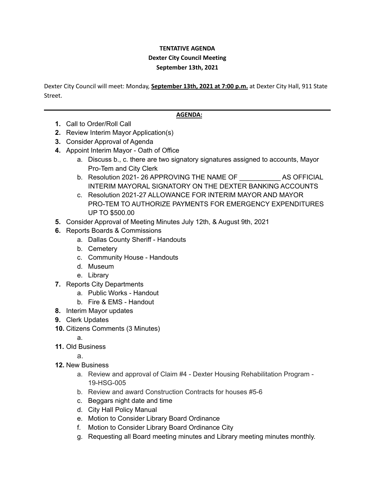## **TENTATIVE AGENDA Dexter City Council Meeting September 13th, 2021**

Dexter City Council will meet: Monday, **September 13th, 2021 at 7:00 p.m.** at Dexter City Hall, 911 State Street.

## **AGENDA:**

- **1.** Call to Order/Roll Call
- **2.** Review Interim Mayor Application(s)
- **3.** Consider Approval of Agenda
- **4.** Appoint Interim Mayor Oath of Office
	- a. Discuss b., c. there are two signatory signatures assigned to accounts, Mayor Pro-Tem and City Clerk
	- b. Resolution 2021- 26 APPROVING THE NAME OF THE AS OFFICIAL INTERIM MAYORAL SIGNATORY ON THE DEXTER BANKING ACCOUNTS
	- c. Resolution 2021-27 ALLOWANCE FOR INTERIM MAYOR AND MAYOR PRO-TEM TO AUTHORIZE PAYMENTS FOR EMERGENCY EXPENDITURES UP TO \$500.00
- **5.** Consider Approval of Meeting Minutes July 12th, & August 9th, 2021
- **6.** Reports Boards & Commissions
	- a. Dallas County Sheriff Handouts
	- b. Cemetery
	- c. Community House Handouts
	- d. Museum
	- e. Library
- **7.** Reports City Departments
	- a. Public Works Handout
	- b. Fire & EMS Handout
- **8.** Interim Mayor updates
- **9.** Clerk Updates
- **10.** Citizens Comments (3 Minutes)
	- a.
- **11.** Old Business

a.

- **12.** New Business
	- a. Review and approval of Claim #4 Dexter Housing Rehabilitation Program 19-HSG-005
	- b. Review and award Construction Contracts for houses #5-6
	- c. Beggars night date and time
	- d. City Hall Policy Manual
	- e. Motion to Consider Library Board Ordinance
	- f. Motion to Consider Library Board Ordinance City
	- g. Requesting all Board meeting minutes and Library meeting minutes monthly.